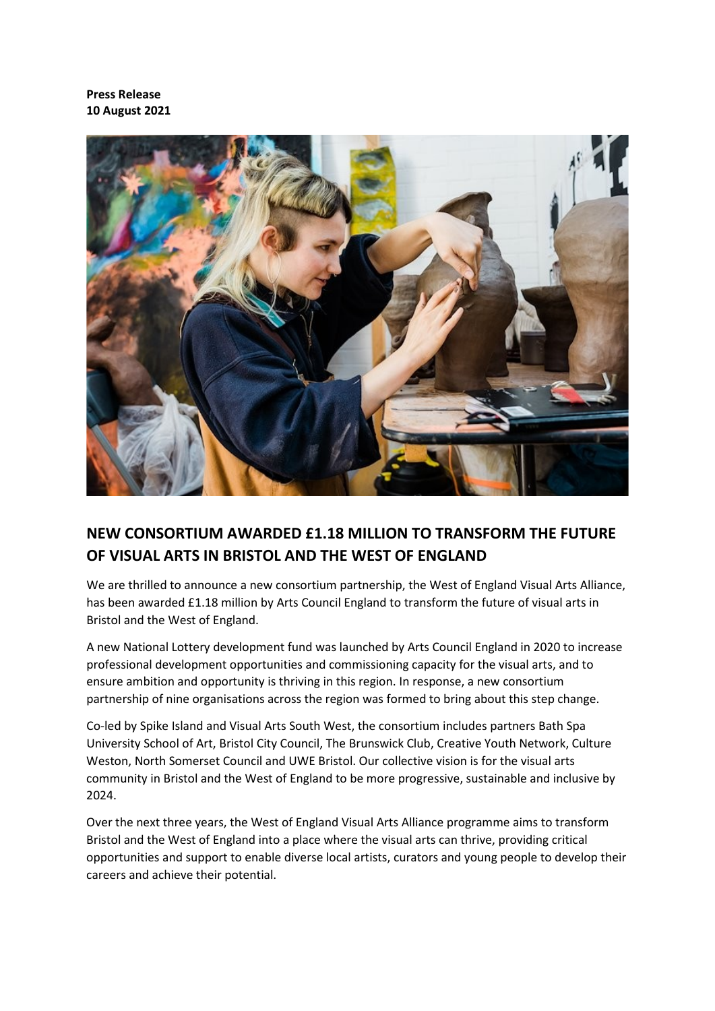**Press Release 10 August 2021**



# **NEW CONSORTIUM AWARDED £1.18 MILLION TO TRANSFORM THE FUTURE OF VISUAL ARTS IN BRISTOL AND THE WEST OF ENGLAND**

We are thrilled to announce a new consortium partnership, the West of England Visual Arts Alliance, has been awarded £1.18 million by Arts Council England to transform the future of visual arts in Bristol and the West of England.

A new National Lottery development fund was launched by Arts Council England in 2020 to increase professional development opportunities and commissioning capacity for the visual arts, and to ensure ambition and opportunity is thriving in this region. In response, a new consortium partnership of nine organisations across the region was formed to bring about this step change.

Co-led by Spike Island and Visual Arts South West, the consortium includes partners Bath Spa University School of Art, Bristol City Council, The Brunswick Club, Creative Youth Network, Culture Weston, North Somerset Council and UWE Bristol. Our collective vision is for the visual arts community in Bristol and the West of England to be more progressive, sustainable and inclusive by 2024.

Over the next three years, the West of England Visual Arts Alliance programme aims to transform Bristol and the West of England into a place where the visual arts can thrive, providing critical opportunities and support to enable diverse local artists, curators and young people to develop their careers and achieve their potential.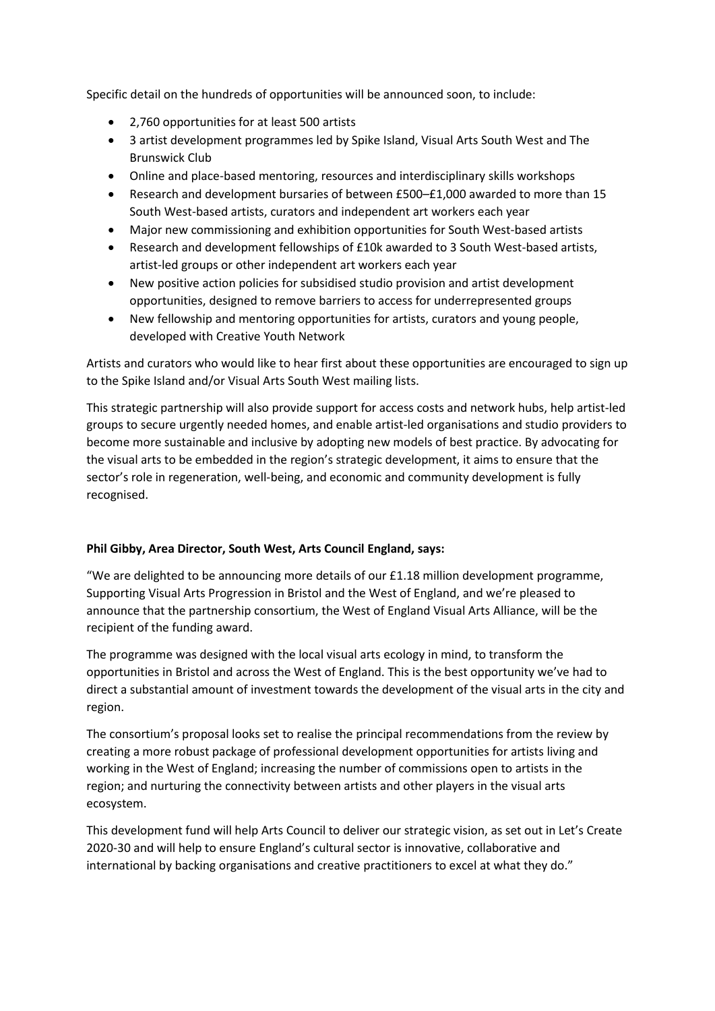Specific detail on the hundreds of opportunities will be announced soon, to include:

- 2,760 opportunities for at least 500 artists
- 3 artist development programmes led by Spike Island, Visual Arts South West and The Brunswick Club
- Online and place-based mentoring, resources and interdisciplinary skills workshops
- Research and development bursaries of between £500–£1,000 awarded to more than 15 South West-based artists, curators and independent art workers each year
- Major new commissioning and exhibition opportunities for South West-based artists
- Research and development fellowships of £10k awarded to 3 South West-based artists, artist-led groups or other independent art workers each year
- New positive action policies for subsidised studio provision and artist development opportunities, designed to remove barriers to access for underrepresented groups
- New fellowship and mentoring opportunities for artists, curators and young people, developed with Creative Youth Network

Artists and curators who would like to hear first about these opportunities are encouraged to sign up to the Spike Island and/or Visual Arts South West mailing lists.

This strategic partnership will also provide support for access costs and network hubs, help artist-led groups to secure urgently needed homes, and enable artist-led organisations and studio providers to become more sustainable and inclusive by adopting new models of best practice. By advocating for the visual arts to be embedded in the region's strategic development, it aims to ensure that the sector's role in regeneration, well-being, and economic and community development is fully recognised.

# **Phil Gibby, Area Director, South West, Arts Council England, says:**

"We are delighted to be announcing more details of our £1.18 million development programme, Supporting Visual Arts Progression in Bristol and the West of England, and we're pleased to announce that the partnership consortium, the West of England Visual Arts Alliance, will be the recipient of the funding award.

The programme was designed with the local visual arts ecology in mind, to transform the opportunities in Bristol and across the West of England. This is the best opportunity we've had to direct a substantial amount of investment towards the development of the visual arts in the city and region.

The consortium's proposal looks set to realise the principal recommendations from the review by creating a more robust package of professional development opportunities for artists living and working in the West of England; increasing the number of commissions open to artists in the region; and nurturing the connectivity between artists and other players in the visual arts ecosystem.

This development fund will help Arts Council to deliver our strategic vision, as set out in Let's Create 2020-30 and will help to ensure England's cultural sector is innovative, collaborative and international by backing organisations and creative practitioners to excel at what they do."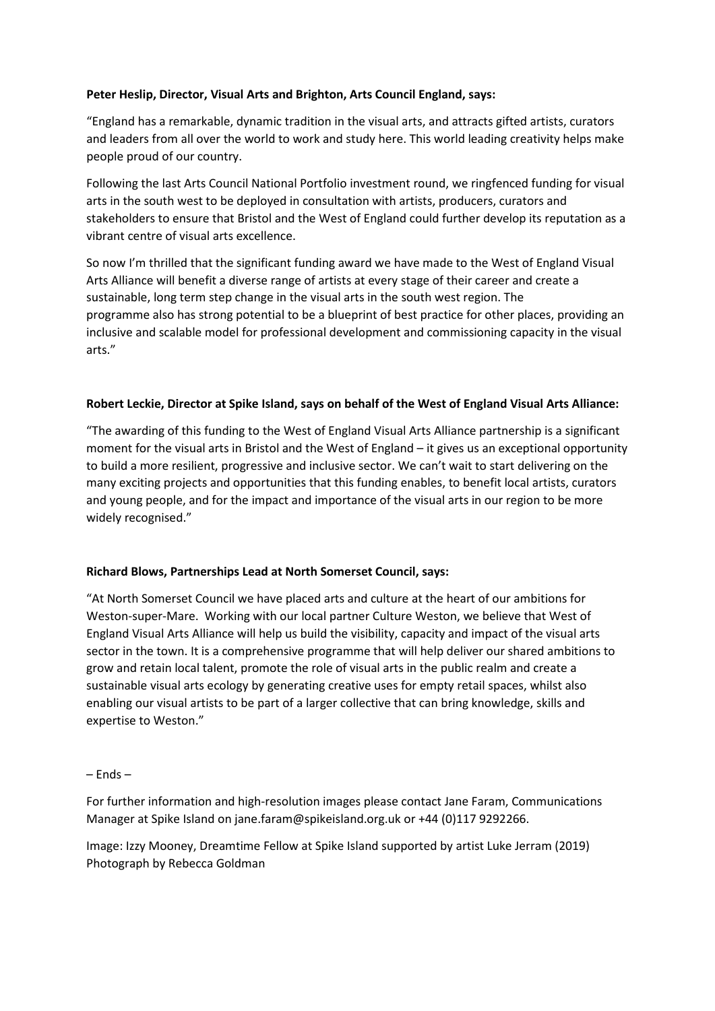# **Peter Heslip, Director, Visual Arts and Brighton, Arts Council England, says:**

"England has a remarkable, dynamic tradition in the visual arts, and attracts gifted artists, curators and leaders from all over the world to work and study here. This world leading creativity helps make people proud of our country.

Following the last Arts Council National Portfolio investment round, we ringfenced funding for visual arts in the south west to be deployed in consultation with artists, producers, curators and stakeholders to ensure that Bristol and the West of England could further develop its reputation as a vibrant centre of visual arts excellence.

So now I'm thrilled that the significant funding award we have made to the West of England Visual Arts Alliance will benefit a diverse range of artists at every stage of their career and create a sustainable, long term step change in the visual arts in the south west region. The programme also has strong potential to be a blueprint of best practice for other places, providing an inclusive and scalable model for professional development and commissioning capacity in the visual arts."

# **Robert Leckie, Director at Spike Island, says on behalf of the West of England Visual Arts Alliance:**

"The awarding of this funding to the West of England Visual Arts Alliance partnership is a significant moment for the visual arts in Bristol and the West of England – it gives us an exceptional opportunity to build a more resilient, progressive and inclusive sector. We can't wait to start delivering on the many exciting projects and opportunities that this funding enables, to benefit local artists, curators and young people, and for the impact and importance of the visual arts in our region to be more widely recognised."

# **Richard Blows, Partnerships Lead at North Somerset Council, says:**

"At North Somerset Council we have placed arts and culture at the heart of our ambitions for Weston-super-Mare. Working with our local partner Culture Weston, we believe that West of England Visual Arts Alliance will help us build the visibility, capacity and impact of the visual arts sector in the town. It is a comprehensive programme that will help deliver our shared ambitions to grow and retain local talent, promote the role of visual arts in the public realm and create a sustainable visual arts ecology by generating creative uses for empty retail spaces, whilst also enabling our visual artists to be part of a larger collective that can bring knowledge, skills and expertise to Weston."

# – Ends –

For further information and high-resolution images please contact Jane Faram, Communications Manager at Spike Island on jane.faram@spikeisland.org.uk or +44 (0)117 9292266.

Image: Izzy Mooney, Dreamtime Fellow at Spike Island supported by artist Luke Jerram (2019) Photograph by Rebecca Goldman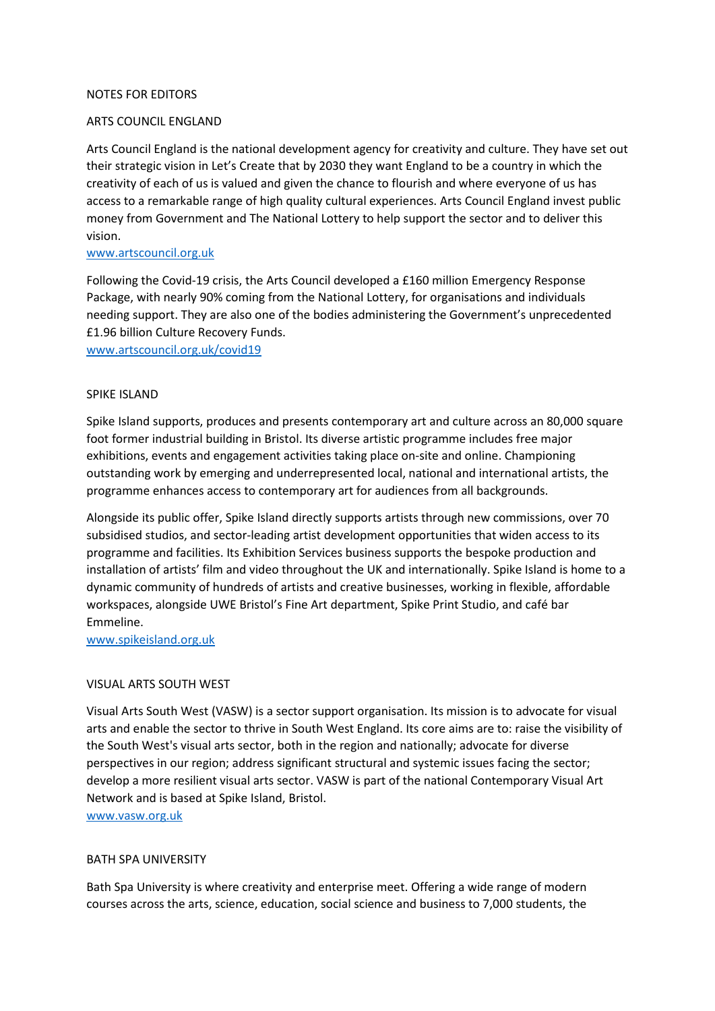#### NOTES FOR EDITORS

#### ARTS COUNCIL ENGLAND

Arts Council England is the national development agency for creativity and culture. They have set out their strategic vision in Let's Create that by 2030 they want England to be a country in which the creativity of each of us is valued and given the chance to flourish and where everyone of us has access to a remarkable range of high quality cultural experiences. Arts Council England invest public money from Government and The National Lottery to help support the sector and to deliver this vision. 

#### [www.artscouncil.org.uk](http://www.artscouncil.org.uk/)

Following the Covid-19 crisis, the Arts Council developed a £160 million Emergency Response Package, with nearly 90% coming from the National Lottery, for organisations and individuals needing support. They are also one of the bodies administering the Government's unprecedented £1.96 billion Culture Recovery Funds.

[www.artscouncil.org.uk/covid19](http://www.artscouncil.org.uk/covid19)

#### SPIKE ISLAND

Spike Island supports, produces and presents contemporary art and culture across an 80,000 square foot former industrial building in Bristol. Its diverse artistic programme includes free major exhibitions, events and engagement activities taking place on-site and online. Championing outstanding work by emerging and underrepresented local, national and international artists, the programme enhances access to contemporary art for audiences from all backgrounds.

Alongside its public offer, Spike Island directly supports artists through new commissions, over 70 subsidised studios, and sector-leading artist development opportunities that widen access to its programme and facilities. Its Exhibition Services business supports the bespoke production and installation of artists' film and video throughout the UK and internationally. Spike Island is home to a dynamic community of hundreds of artists and creative businesses, working in flexible, affordable workspaces, alongside UWE Bristol's Fine Art department, Spike Print Studio, and café bar Emmeline.

[www.spikeisland.org.uk](http://www.spikeisland.org.uk/)

# VISUAL ARTS SOUTH WEST

Visual Arts South West (VASW) is a sector support organisation. Its mission is to advocate for visual arts and enable the sector to thrive in South West England. Its core aims are to: raise the visibility of the South West's visual arts sector, both in the region and nationally; advocate for diverse perspectives in our region; address significant structural and systemic issues facing the sector; develop a more resilient visual arts sector. VASW is part of the national Contemporary Visual Art Network and is based at Spike Island, Bristol.

[www.vasw.org.uk](http://www.vasw.org.uk/)

# BATH SPA UNIVERSITY

Bath Spa University is where creativity and enterprise meet. Offering a wide range of modern courses across the arts, science, education, social science and business to 7,000 students, the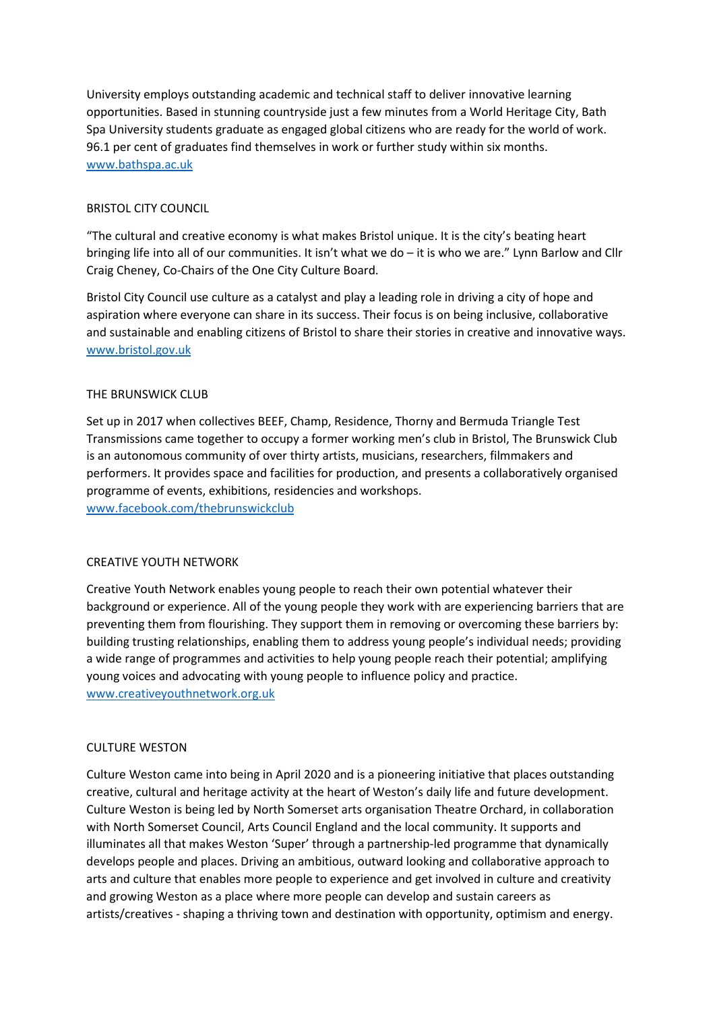University employs outstanding academic and technical staff to deliver innovative learning opportunities. Based in stunning countryside just a few minutes from a World Heritage City, Bath Spa University students graduate as engaged global citizens who are ready for the world of work. 96.1 per cent of graduates find themselves in work or further study within six months. [www.bathspa.ac.uk](http://www.bathspa.ac.uk/)

# BRISTOL CITY COUNCIL

"The cultural and creative economy is what makes Bristol unique. It is the city's beating heart bringing life into all of our communities. It isn't what we do – it is who we are." Lynn Barlow and Cllr Craig Cheney, Co-Chairs of the One City Culture Board.

Bristol City Council use culture as a catalyst and play a leading role in driving a city of hope and aspiration where everyone can share in its success. Their focus is on being inclusive, collaborative and sustainable and enabling citizens of Bristol to share their stories in creative and innovative ways. [www.bristol.gov.uk](http://www.bristol.gov.uk/)

# THE BRUNSWICK CLUB

Set up in 2017 when collectives BEEF, Champ, Residence, Thorny and Bermuda Triangle Test Transmissions came together to occupy a former working men's club in Bristol, The Brunswick Club is an autonomous community of over thirty artists, musicians, researchers, filmmakers and performers. It provides space and facilities for production, and presents a collaboratively organised programme of events, exhibitions, residencies and workshops. [www.facebook.com/thebrunswickclub](http://www.facebook.com/thebrunswickclub)

# CREATIVE YOUTH NETWORK

Creative Youth Network enables young people to reach their own potential whatever their background or experience. All of the young people they work with are experiencing barriers that are preventing them from flourishing. They support them in removing or overcoming these barriers by: building trusting relationships, enabling them to address young people's individual needs; providing a wide range of programmes and activities to help young people reach their potential; amplifying young voices and advocating with young people to influence policy and practice. [www.creativeyouthnetwork.org.uk](http://www.creativeyouthnetwork.org.uk/)

# CULTURE WESTON

Culture Weston came into being in April 2020 and is a pioneering initiative that places outstanding creative, cultural and heritage activity at the heart of Weston's daily life and future development. Culture Weston is being led by North Somerset arts organisation Theatre Orchard, in collaboration with North Somerset Council, Arts Council England and the local community. It supports and illuminates all that makes Weston 'Super' through a partnership-led programme that dynamically develops people and places. Driving an ambitious, outward looking and collaborative approach to arts and culture that enables more people to experience and get involved in culture and creativity and growing Weston as a place where more people can develop and sustain careers as artists/creatives - shaping a thriving town and destination with opportunity, optimism and energy.